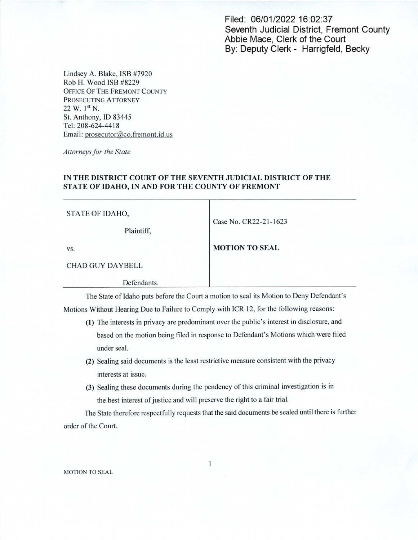Filed: 06/01/202216:02:37 Seventh Judicial District, Fremont County Abbie Mace, Clerk of the Court By: Deputy Clerk - Harrigfeld, Becky

Lindsey A. Blake, ISB #7920 Rob H. Wood ISB #8229 OFFICE OF THE FREMONT COUNTY PROSECUTING ATTORNEY 22 W. 1st N. St. Anthony, ID 83445 Tel: 208~624-4418 Email: prosecutor@co.fremont.id.us

Attorneys for the State

## IN THE DISTRICT COURT OF THE SEVENTH JUDICIAL DISTRICT OF THE STATE OF IDAHO, IN AND FOR THE COUNTY OF FREMONT

| STATE OF IDAHO,<br>Plaintiff, | Case No. CR22-21-1623 |
|-------------------------------|-----------------------|
| VS.                           | <b>MOTION TO SEAL</b> |
| <b>CHAD GUY DAYBELL</b>       |                       |
| Defendants.                   |                       |

The State of Idaho puts before the Court a motion to seal its Motion to Deny Defendant's Motions Without Hearing Due to Failure to Comply with ICR 12, for the following reasons:

- (1) The interests in privacy are predominant over the public's interest in disclosure, and based on the motion being filed in response to Defendant's Motions which were filed under seal.
- (2) Sealing said documents is the least restrictive measure consistent with the privacy interests at issue.
- (3) Sealing these documents during the pendency of this criminal investigation is in the best interest of justice and will preserve the right to a fair trial.

The State therefore respectfully requests that the said documents be sealed until there is further order of the Court.